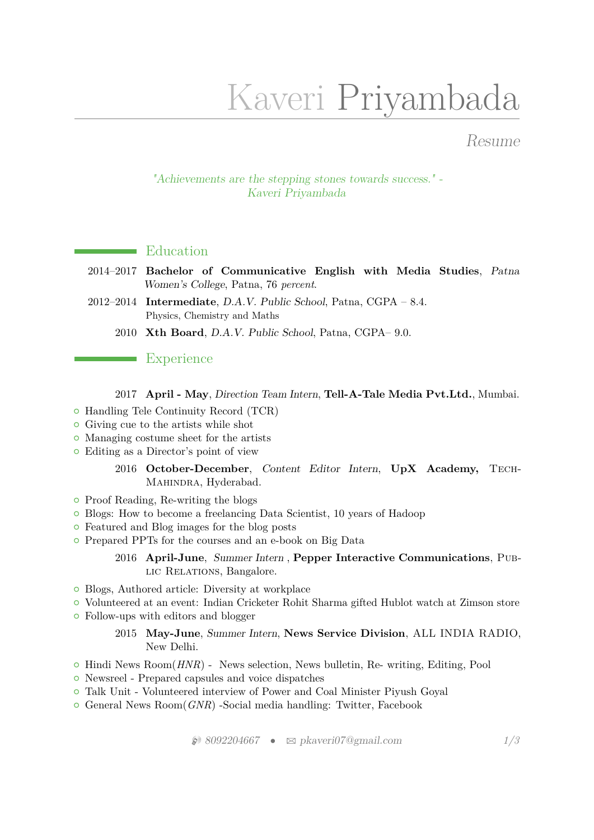# Kaveri Priyambada

## Resume

"Achievements are the stepping stones towards success." - Kaveri Priyambada

#### **Education**

- 2014–2017 **Bachelor of Communicative English with Media Studies**, Patna Women's College, Patna, 76 *percent*.
- 2012–2014 **Intermediate**, D.A.V. Public School, Patna, CGPA 8.4. Physics, Chemistry and Maths
	- 2010 **Xth Board**, D.A.V. Public School, Patna, CGPA– 9.0.

#### **Experience**

#### 2017 **April - May**, Direction Team Intern, **Tell-A-Tale Media Pvt.Ltd.**, Mumbai.

- { Handling Tele Continuity Record (TCR)
- { Giving cue to the artists while shot
- Managing costume sheet for the artists
- { Editing as a Director's point of view
	- 2016 **October-December**, Content Editor Intern, **UpX Academy,** Tech-MAHINDRA, Hyderabad.
- Proof Reading, Re-writing the blogs
- { Blogs: How to become a freelancing Data Scientist, 10 years of Hadoop
- Featured and Blog images for the blog posts
- { Prepared PPTs for the courses and an e-book on Big Data

#### 2016 **April-June**, Summer Intern , **Pepper Interactive Communications**, Pub-LIC RELATIONS, Bangalore.

- Blogs, Authored article: Diversity at workplace
- { Volunteered at an event: Indian Cricketer Rohit Sharma gifted Hublot watch at Zimson store
- Follow-ups with editors and blogger

#### 2015 **May-June**, Summer Intern, **News Service Division**, ALL INDIA RADIO, New Delhi.

- $\circ$  Hindi News Room $(HNR)$  News selection, News bulletin, Re- writing, Editing, Pool
- { Newsreel Prepared capsules and voice dispatches
- { Talk Unit Volunteered interview of Power and Coal Minister Piyush Goyal
- { General News Room(*GNR*) -Social media handling: Twitter, Facebook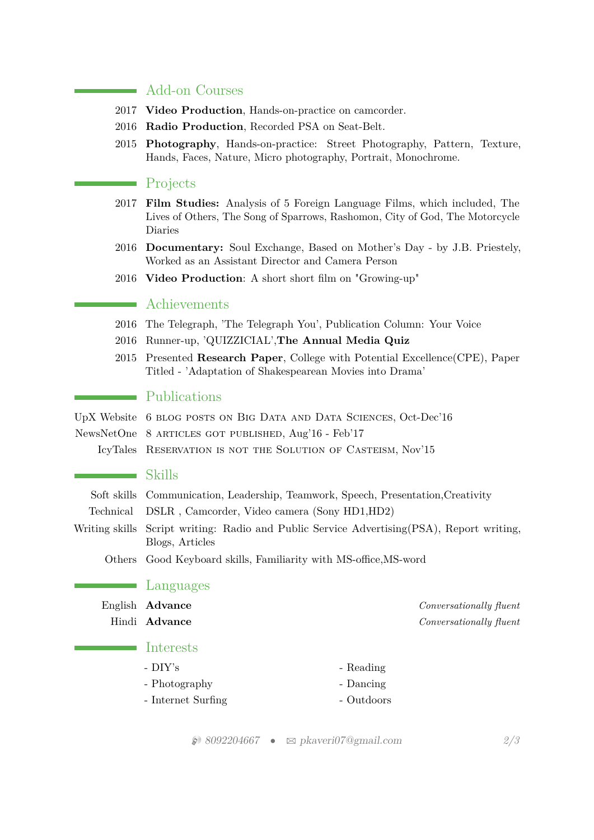#### Add-on Courses

- 2017 **Video Production**, Hands-on-practice on camcorder.
- 2016 **Radio Production**, Recorded PSA on Seat-Belt.
- 2015 **Photography**, Hands-on-practice: Street Photography, Pattern, Texture, Hands, Faces, Nature, Micro photography, Portrait, Monochrome.

#### **Projects**

- 2017 **Film Studies:** Analysis of 5 Foreign Language Films, which included, The Lives of Others, The Song of Sparrows, Rashomon, City of God, The Motorcycle Diaries
- 2016 **Documentary:** Soul Exchange, Based on Mother's Day by J.B. Priestely, Worked as an Assistant Director and Camera Person
- 2016 **Video Production**: A short short film on "Growing-up"

## **Achievements**

- 2016 The Telegraph, 'The Telegraph You', Publication Column: Your Voice
- 2016 Runner-up, 'QUIZZICIAL',**The Annual Media Quiz**
- 2015 Presented **Research Paper**, College with Potential Excellence(CPE), Paper Titled - 'Adaptation of Shakespearean Movies into Drama'

#### Publications

UpX Website 6 blog posts on Big Data and Data Sciences, Oct-Dec'16

NewsNetOne 8 articles got published, Aug'16 - Feb'17

IcyTales Reservation is not the Solution of Casteism, Nov'15

## $\blacksquare$  Skills

| Soft skills Communication, Leadership, Teamwork, Speech, Presentation, Creativity |  |  |  |  |  |
|-----------------------------------------------------------------------------------|--|--|--|--|--|
|-----------------------------------------------------------------------------------|--|--|--|--|--|

- Technical DSLR , Camcorder, Video camera (Sony HD1,HD2)
- Writing skills Script writing: Radio and Public Service Advertising(PSA), Report writing, Blogs, Articles

Others Good Keyboard skills, Familiarity with MS-office,MS-word

#### Languages

| English <b>Advance</b> | <i>Conversationally fluent</i> |  |
|------------------------|--------------------------------|--|
| Hindi Advance          | Conversationally fluent        |  |

#### Interests

- DIY's - Reading - Photography - Dancing - Internet Surfing - Outdoors

H 8092204667 • B [pkaveri07@gmail.com](mailto:pkaveri07@gmail.com) *2[/3](#page-2-0)*